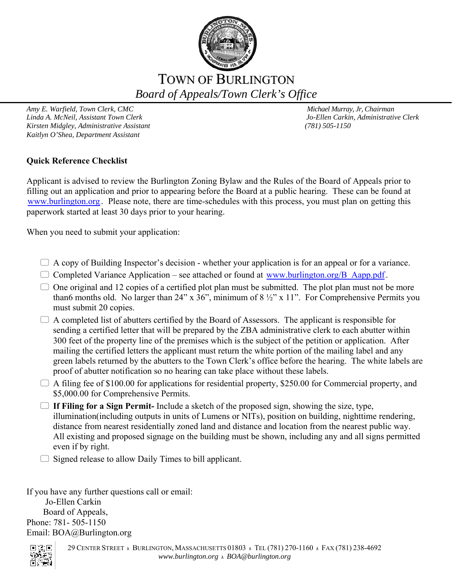

# TOWN OF BURLINGTON *Board of Appeals/Town Clerk's Office*

*Amy E. Warfield, Town Clerk, CMC* and *Amy E. Warfield, Town Clerk, CMC* and *Michael Murray, Jr, Chairman*<br> *Amy E. Warfield, Assistant Town Clerk* and *Michael Murray, Jo-Ellen Carkin, Administrative Clerk* Linda A. McNeil, Assistant Town Clerk *Kirsten Midgley, Administrative Assistant (781) 505-1150 Kaitlyn O'Shea, Department Assistant*

## **Quick Reference Checklist**

Applicant is advised to review the Burlington Zoning Bylaw and the Rules of the Board of Appeals prior to filling out an application and prior to appearing before the Board at a public hearing. These can be found at www.burlington.org. Please note, there are time-schedules with this process, you must plan on getting this paperwork started at least 30 days prior to your hearing.

When you need to submit your application:

- $\Box$  A copy of Building Inspector's decision whether your application is for an appeal or for a variance.
- Completed Variance Application see attached or found at www.burlington.org/B Aapp.pdf.
- $\Box$  One original and 12 copies of a certified plot plan must be submitted. The plot plan must not be more than6 months old. No larger than 24" x  $36$ ", minimum of  $8\frac{1}{2}$ " x 11". For Comprehensive Permits you must submit 20 copies.
- $\Box$  A completed list of abutters certified by the Board of Assessors. The applicant is responsible for sending a certified letter that will be prepared by the ZBA administrative clerk to each abutter within 300 feet of the property line of the premises which is the subject of the petition or application. After mailing the certified letters the applicant must return the white portion of the mailing label and any green labels returned by the abutters to the Town Clerk's office before the hearing. The white labels are proof of abutter notification so no hearing can take place without these labels.
- $\Box$  A filing fee of \$100.00 for applications for residential property, \$250.00 for Commercial property, and \$5,000.00 for Comprehensive Permits.
- **If Filing for a Sign Permit-** Include a sketch of the proposed sign, showing the size, type, illumination(including outputs in units of Lumens or NITs), position on building, nighttime rendering, distance from nearest residentially zoned land and distance and location from the nearest public way. All existing and proposed signage on the building must be shown, including any and all signs permitted even if by right.

 $\Box$  Signed release to allow Daily Times to bill applicant.

If you have any further questions call or email: Jo-Ellen Carkin Board of Appeals, Phone: 781- 505-1150 Email: BOA@Burlington.org

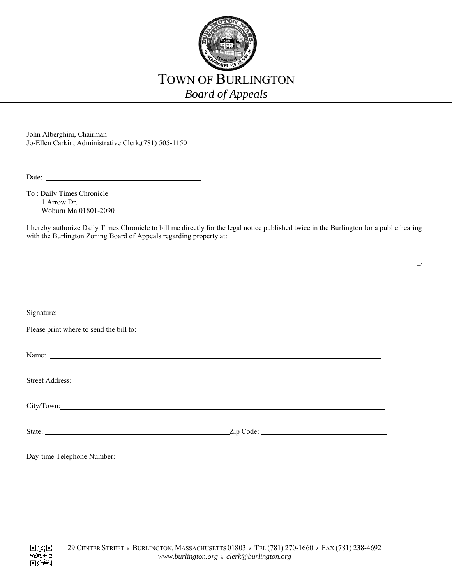

John Alberghini, Chairman Jo-Ellen Carkin, Administrative Clerk,(781) 505-1150

To : Daily Times Chronicle 1 Arrow Dr. Woburn Ma.01801-2090

I hereby authorize Daily Times Chronicle to bill me directly for the legal notice published twice in the Burlington for a public hearing with the Burlington Zoning Board of Appeals regarding property at:

 $\sim$  , the contract of the contract of the contract of the contract of the contract of the contract of the contract of the contract of the contract of the contract of the contract of the contract of the contract of the co

| Signature: Signature: Signature: Signature: Signature: Signature: Signature: Signature: Signature: Signature: Signature: Signature: Signature: Signature: Signature: Signature: Signature: Signature: Signature: Signature: Si       |           |  |
|--------------------------------------------------------------------------------------------------------------------------------------------------------------------------------------------------------------------------------------|-----------|--|
| Please print where to send the bill to:                                                                                                                                                                                              |           |  |
|                                                                                                                                                                                                                                      |           |  |
| Street Address: <u>The Community of the Community of the Community of the Community of the Community of the Community of the Community of the Community of the Community of the Community of the Community of the Community of t</u> |           |  |
|                                                                                                                                                                                                                                      |           |  |
|                                                                                                                                                                                                                                      | Zip Code: |  |
|                                                                                                                                                                                                                                      |           |  |

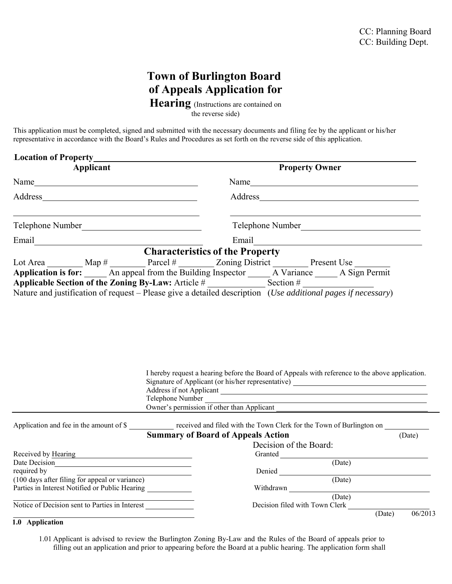## **Town of Burlington Board of Appeals Application for**

**Hearing** (Instructions are contained on

the reverse side)

This application must be completed, signed and submitted with the necessary documents and filing fee by the applicant or his/her representative in accordance with the Board's Rules and Procedures as set forth on the reverse side of this application.

| <b>Location of Property</b>                                                                                                                                                                                                          |                                                                                                                                                                                                                                                       |
|--------------------------------------------------------------------------------------------------------------------------------------------------------------------------------------------------------------------------------------|-------------------------------------------------------------------------------------------------------------------------------------------------------------------------------------------------------------------------------------------------------|
| Applicant                                                                                                                                                                                                                            | <b>Property Owner</b>                                                                                                                                                                                                                                 |
| Name                                                                                                                                                                                                                                 |                                                                                                                                                                                                                                                       |
|                                                                                                                                                                                                                                      |                                                                                                                                                                                                                                                       |
| Telephone Number                                                                                                                                                                                                                     |                                                                                                                                                                                                                                                       |
| Email <u>contract the contract of the contract of the contract of the contract of the contract of the contract of the contract of the contract of the contract of the contract of the contract of the contract of the contract o</u> | Email and the contract of the contract of the contract of the contract of the contract of the contract of the contract of the contract of the contract of the contract of the contract of the contract of the contract of the                         |
|                                                                                                                                                                                                                                      | <b>Characteristics of the Property</b><br>Lot Area _________ Map # _________ Parcel # ________ Zoning District _________ Present Use ________<br>Application is for: _____ An appeal from the Building Inspector _____ A Variance _____ A Sign Permit |
|                                                                                                                                                                                                                                      |                                                                                                                                                                                                                                                       |
|                                                                                                                                                                                                                                      | Nature and justification of request - Please give a detailed description (Use additional pages if necessary)                                                                                                                                          |
|                                                                                                                                                                                                                                      | I hereby request a hearing before the Board of Appeals with reference to the above application.<br>Signature of Applicant (or his/her representative) ______________________________                                                                  |
|                                                                                                                                                                                                                                      | Telephone Number<br><u> 1989 - Johann Barbara, martin amerikan basal dan berasal dalam basal dalam basal dalam basal dalam basal dala</u>                                                                                                             |
|                                                                                                                                                                                                                                      | Owner's permission if other than Applicant                                                                                                                                                                                                            |
|                                                                                                                                                                                                                                      | Application and fee in the amount of \$                                                                                                                                                                                                               |
|                                                                                                                                                                                                                                      | <b>Summary of Board of Appeals Action</b><br>(Date)                                                                                                                                                                                                   |
|                                                                                                                                                                                                                                      | Decision of the Board:                                                                                                                                                                                                                                |
| Received by Hearing                                                                                                                                                                                                                  |                                                                                                                                                                                                                                                       |
|                                                                                                                                                                                                                                      | (Date)                                                                                                                                                                                                                                                |
| required by                                                                                                                                                                                                                          |                                                                                                                                                                                                                                                       |
| (100 days after filing for appeal or variance)<br>Parties in Interest Notified or Public Hearing                                                                                                                                     | (Date)<br>Withdrawn                                                                                                                                                                                                                                   |
| Notice of Decision sent to Parties in Interest                                                                                                                                                                                       | (Date)<br>Decision filed with Town Clerk                                                                                                                                                                                                              |
|                                                                                                                                                                                                                                      | (Date)<br>06/2013                                                                                                                                                                                                                                     |

## **1.0 Application**

1.01 Applicant is advised to review the Burlington Zoning By-Law and the Rules of the Board of appeals prior to filling out an application and prior to appearing before the Board at a public hearing. The application form shall